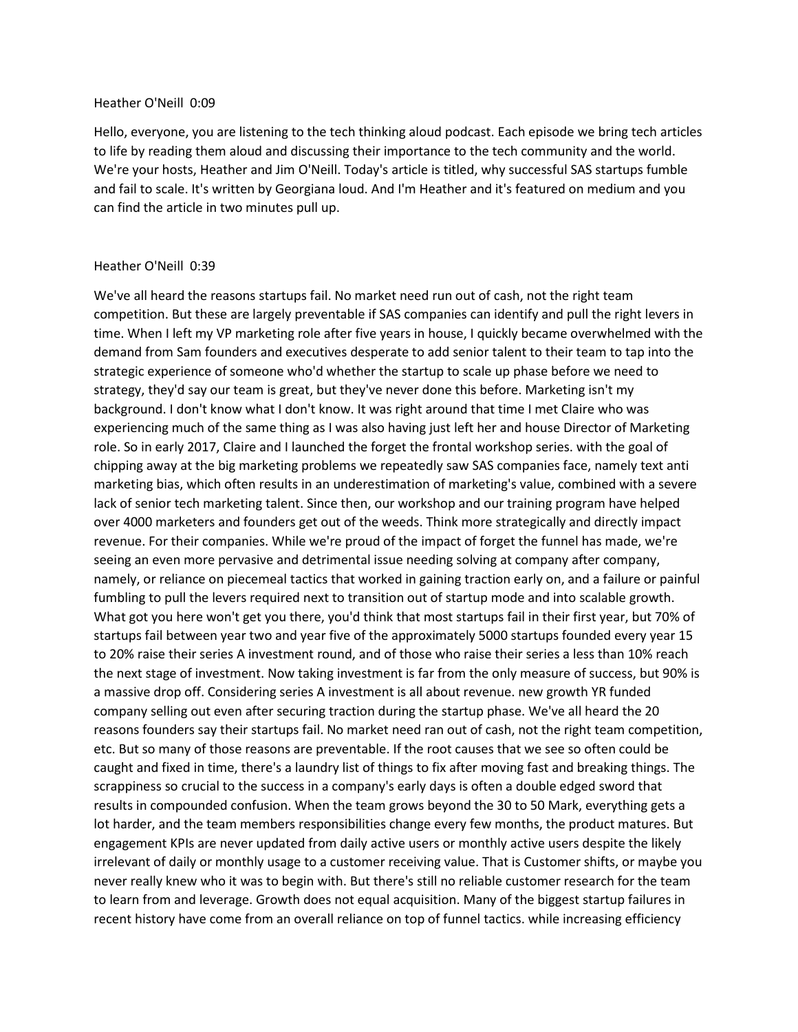#### Heather O'Neill 0:09

Hello, everyone, you are listening to the tech thinking aloud podcast. Each episode we bring tech articles to life by reading them aloud and discussing their importance to the tech community and the world. We're your hosts, Heather and Jim O'Neill. Today's article is titled, why successful SAS startups fumble and fail to scale. It's written by Georgiana loud. And I'm Heather and it's featured on medium and you can find the article in two minutes pull up.

## Heather O'Neill 0:39

We've all heard the reasons startups fail. No market need run out of cash, not the right team competition. But these are largely preventable if SAS companies can identify and pull the right levers in time. When I left my VP marketing role after five years in house, I quickly became overwhelmed with the demand from Sam founders and executives desperate to add senior talent to their team to tap into the strategic experience of someone who'd whether the startup to scale up phase before we need to strategy, they'd say our team is great, but they've never done this before. Marketing isn't my background. I don't know what I don't know. It was right around that time I met Claire who was experiencing much of the same thing as I was also having just left her and house Director of Marketing role. So in early 2017, Claire and I launched the forget the frontal workshop series. with the goal of chipping away at the big marketing problems we repeatedly saw SAS companies face, namely text anti marketing bias, which often results in an underestimation of marketing's value, combined with a severe lack of senior tech marketing talent. Since then, our workshop and our training program have helped over 4000 marketers and founders get out of the weeds. Think more strategically and directly impact revenue. For their companies. While we're proud of the impact of forget the funnel has made, we're seeing an even more pervasive and detrimental issue needing solving at company after company, namely, or reliance on piecemeal tactics that worked in gaining traction early on, and a failure or painful fumbling to pull the levers required next to transition out of startup mode and into scalable growth. What got you here won't get you there, you'd think that most startups fail in their first year, but 70% of startups fail between year two and year five of the approximately 5000 startups founded every year 15 to 20% raise their series A investment round, and of those who raise their series a less than 10% reach the next stage of investment. Now taking investment is far from the only measure of success, but 90% is a massive drop off. Considering series A investment is all about revenue. new growth YR funded company selling out even after securing traction during the startup phase. We've all heard the 20 reasons founders say their startups fail. No market need ran out of cash, not the right team competition, etc. But so many of those reasons are preventable. If the root causes that we see so often could be caught and fixed in time, there's a laundry list of things to fix after moving fast and breaking things. The scrappiness so crucial to the success in a company's early days is often a double edged sword that results in compounded confusion. When the team grows beyond the 30 to 50 Mark, everything gets a lot harder, and the team members responsibilities change every few months, the product matures. But engagement KPIs are never updated from daily active users or monthly active users despite the likely irrelevant of daily or monthly usage to a customer receiving value. That is Customer shifts, or maybe you never really knew who it was to begin with. But there's still no reliable customer research for the team to learn from and leverage. Growth does not equal acquisition. Many of the biggest startup failures in recent history have come from an overall reliance on top of funnel tactics. while increasing efficiency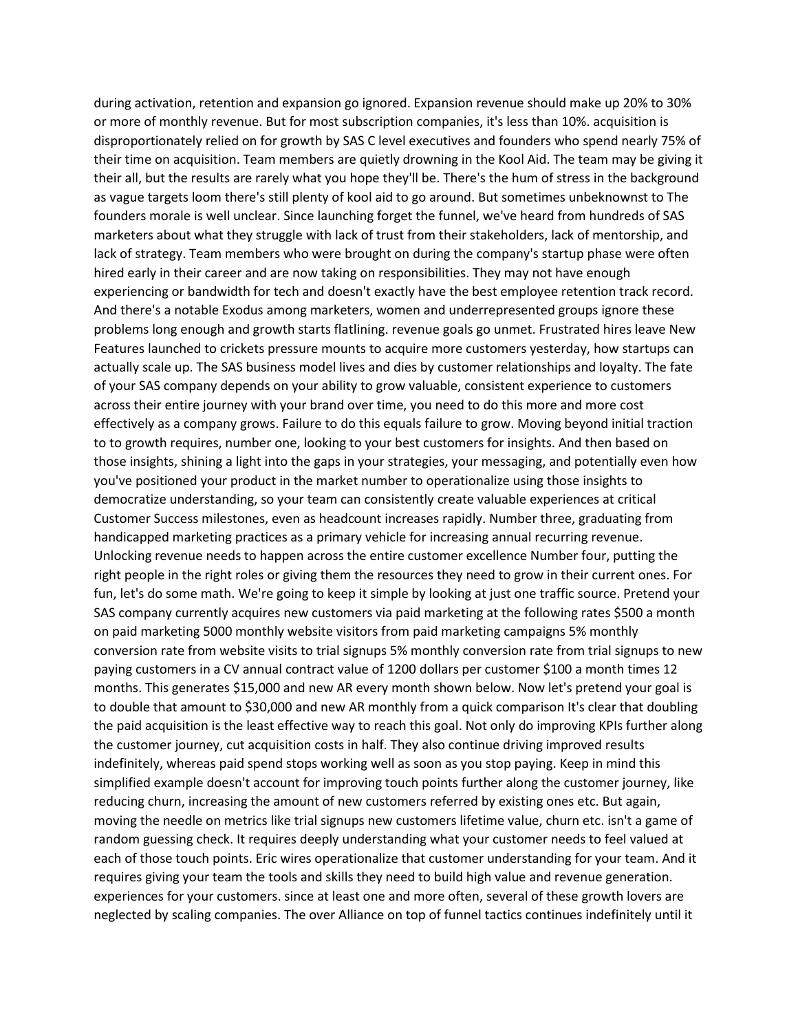during activation, retention and expansion go ignored. Expansion revenue should make up 20% to 30% or more of monthly revenue. But for most subscription companies, it's less than 10%. acquisition is disproportionately relied on for growth by SAS C level executives and founders who spend nearly 75% of their time on acquisition. Team members are quietly drowning in the Kool Aid. The team may be giving it their all, but the results are rarely what you hope they'll be. There's the hum of stress in the background as vague targets loom there's still plenty of kool aid to go around. But sometimes unbeknownst to The founders morale is well unclear. Since launching forget the funnel, we've heard from hundreds of SAS marketers about what they struggle with lack of trust from their stakeholders, lack of mentorship, and lack of strategy. Team members who were brought on during the company's startup phase were often hired early in their career and are now taking on responsibilities. They may not have enough experiencing or bandwidth for tech and doesn't exactly have the best employee retention track record. And there's a notable Exodus among marketers, women and underrepresented groups ignore these problems long enough and growth starts flatlining. revenue goals go unmet. Frustrated hires leave New Features launched to crickets pressure mounts to acquire more customers yesterday, how startups can actually scale up. The SAS business model lives and dies by customer relationships and loyalty. The fate of your SAS company depends on your ability to grow valuable, consistent experience to customers across their entire journey with your brand over time, you need to do this more and more cost effectively as a company grows. Failure to do this equals failure to grow. Moving beyond initial traction to to growth requires, number one, looking to your best customers for insights. And then based on those insights, shining a light into the gaps in your strategies, your messaging, and potentially even how you've positioned your product in the market number to operationalize using those insights to democratize understanding, so your team can consistently create valuable experiences at critical Customer Success milestones, even as headcount increases rapidly. Number three, graduating from handicapped marketing practices as a primary vehicle for increasing annual recurring revenue. Unlocking revenue needs to happen across the entire customer excellence Number four, putting the right people in the right roles or giving them the resources they need to grow in their current ones. For fun, let's do some math. We're going to keep it simple by looking at just one traffic source. Pretend your SAS company currently acquires new customers via paid marketing at the following rates \$500 a month on paid marketing 5000 monthly website visitors from paid marketing campaigns 5% monthly conversion rate from website visits to trial signups 5% monthly conversion rate from trial signups to new paying customers in a CV annual contract value of 1200 dollars per customer \$100 a month times 12 months. This generates \$15,000 and new AR every month shown below. Now let's pretend your goal is to double that amount to \$30,000 and new AR monthly from a quick comparison It's clear that doubling the paid acquisition is the least effective way to reach this goal. Not only do improving KPIs further along the customer journey, cut acquisition costs in half. They also continue driving improved results indefinitely, whereas paid spend stops working well as soon as you stop paying. Keep in mind this simplified example doesn't account for improving touch points further along the customer journey, like reducing churn, increasing the amount of new customers referred by existing ones etc. But again, moving the needle on metrics like trial signups new customers lifetime value, churn etc. isn't a game of random guessing check. It requires deeply understanding what your customer needs to feel valued at each of those touch points. Eric wires operationalize that customer understanding for your team. And it requires giving your team the tools and skills they need to build high value and revenue generation. experiences for your customers. since at least one and more often, several of these growth lovers are neglected by scaling companies. The over Alliance on top of funnel tactics continues indefinitely until it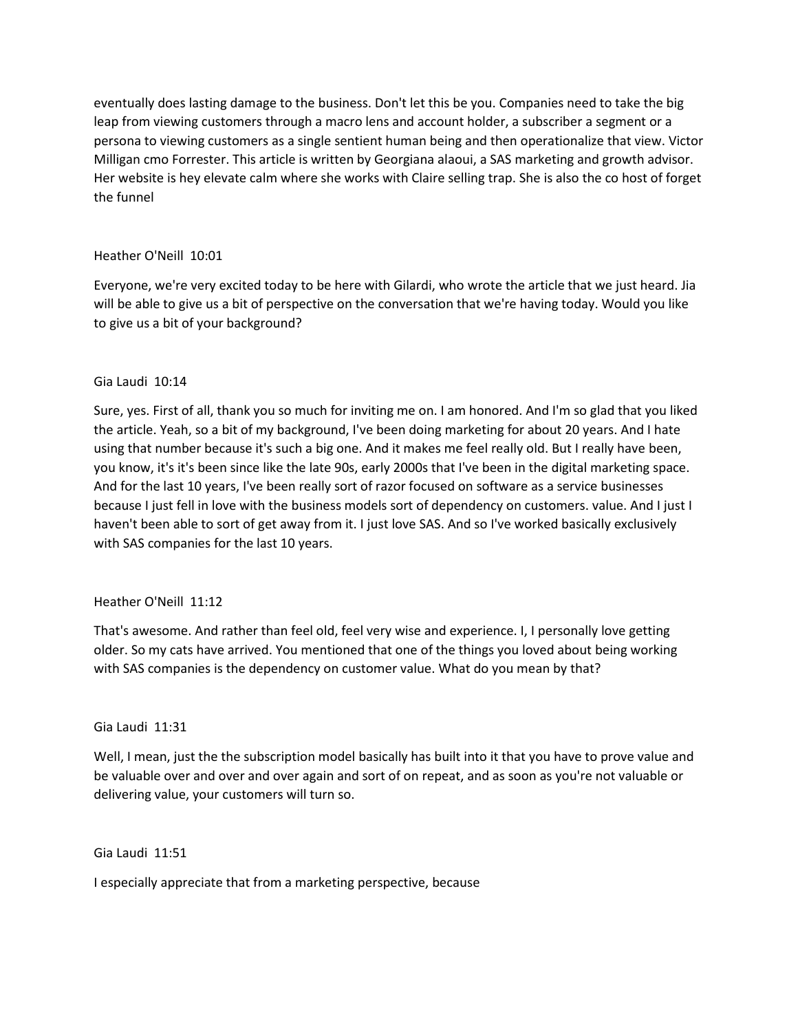eventually does lasting damage to the business. Don't let this be you. Companies need to take the big leap from viewing customers through a macro lens and account holder, a subscriber a segment or a persona to viewing customers as a single sentient human being and then operationalize that view. Victor Milligan cmo Forrester. This article is written by Georgiana alaoui, a SAS marketing and growth advisor. Her website is hey elevate calm where she works with Claire selling trap. She is also the co host of forget the funnel

# Heather O'Neill 10:01

Everyone, we're very excited today to be here with Gilardi, who wrote the article that we just heard. Jia will be able to give us a bit of perspective on the conversation that we're having today. Would you like to give us a bit of your background?

# Gia Laudi 10:14

Sure, yes. First of all, thank you so much for inviting me on. I am honored. And I'm so glad that you liked the article. Yeah, so a bit of my background, I've been doing marketing for about 20 years. And I hate using that number because it's such a big one. And it makes me feel really old. But I really have been, you know, it's it's been since like the late 90s, early 2000s that I've been in the digital marketing space. And for the last 10 years, I've been really sort of razor focused on software as a service businesses because I just fell in love with the business models sort of dependency on customers. value. And I just I haven't been able to sort of get away from it. I just love SAS. And so I've worked basically exclusively with SAS companies for the last 10 years.

# Heather O'Neill 11:12

That's awesome. And rather than feel old, feel very wise and experience. I, I personally love getting older. So my cats have arrived. You mentioned that one of the things you loved about being working with SAS companies is the dependency on customer value. What do you mean by that?

# Gia Laudi 11:31

Well, I mean, just the the subscription model basically has built into it that you have to prove value and be valuable over and over and over again and sort of on repeat, and as soon as you're not valuable or delivering value, your customers will turn so.

Gia Laudi 11:51

I especially appreciate that from a marketing perspective, because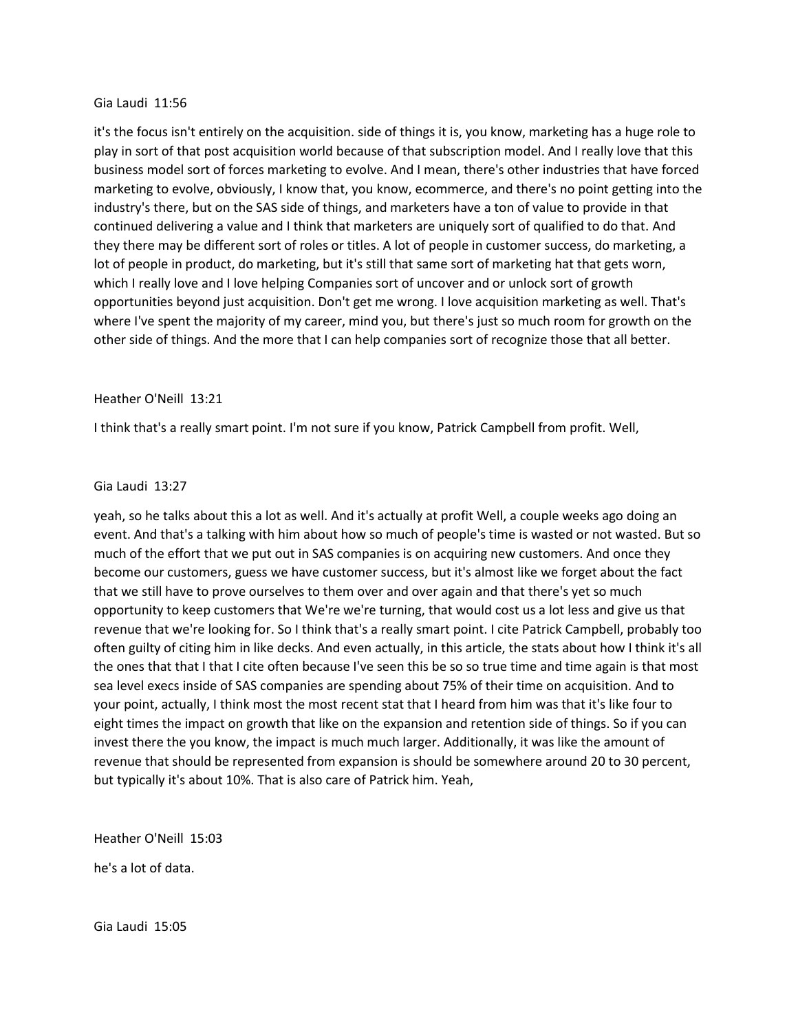## Gia Laudi 11:56

it's the focus isn't entirely on the acquisition. side of things it is, you know, marketing has a huge role to play in sort of that post acquisition world because of that subscription model. And I really love that this business model sort of forces marketing to evolve. And I mean, there's other industries that have forced marketing to evolve, obviously, I know that, you know, ecommerce, and there's no point getting into the industry's there, but on the SAS side of things, and marketers have a ton of value to provide in that continued delivering a value and I think that marketers are uniquely sort of qualified to do that. And they there may be different sort of roles or titles. A lot of people in customer success, do marketing, a lot of people in product, do marketing, but it's still that same sort of marketing hat that gets worn, which I really love and I love helping Companies sort of uncover and or unlock sort of growth opportunities beyond just acquisition. Don't get me wrong. I love acquisition marketing as well. That's where I've spent the majority of my career, mind you, but there's just so much room for growth on the other side of things. And the more that I can help companies sort of recognize those that all better.

## Heather O'Neill 13:21

I think that's a really smart point. I'm not sure if you know, Patrick Campbell from profit. Well,

## Gia Laudi 13:27

yeah, so he talks about this a lot as well. And it's actually at profit Well, a couple weeks ago doing an event. And that's a talking with him about how so much of people's time is wasted or not wasted. But so much of the effort that we put out in SAS companies is on acquiring new customers. And once they become our customers, guess we have customer success, but it's almost like we forget about the fact that we still have to prove ourselves to them over and over again and that there's yet so much opportunity to keep customers that We're we're turning, that would cost us a lot less and give us that revenue that we're looking for. So I think that's a really smart point. I cite Patrick Campbell, probably too often guilty of citing him in like decks. And even actually, in this article, the stats about how I think it's all the ones that that I that I cite often because I've seen this be so so true time and time again is that most sea level execs inside of SAS companies are spending about 75% of their time on acquisition. And to your point, actually, I think most the most recent stat that I heard from him was that it's like four to eight times the impact on growth that like on the expansion and retention side of things. So if you can invest there the you know, the impact is much much larger. Additionally, it was like the amount of revenue that should be represented from expansion is should be somewhere around 20 to 30 percent, but typically it's about 10%. That is also care of Patrick him. Yeah,

Heather O'Neill 15:03

he's a lot of data.

Gia Laudi 15:05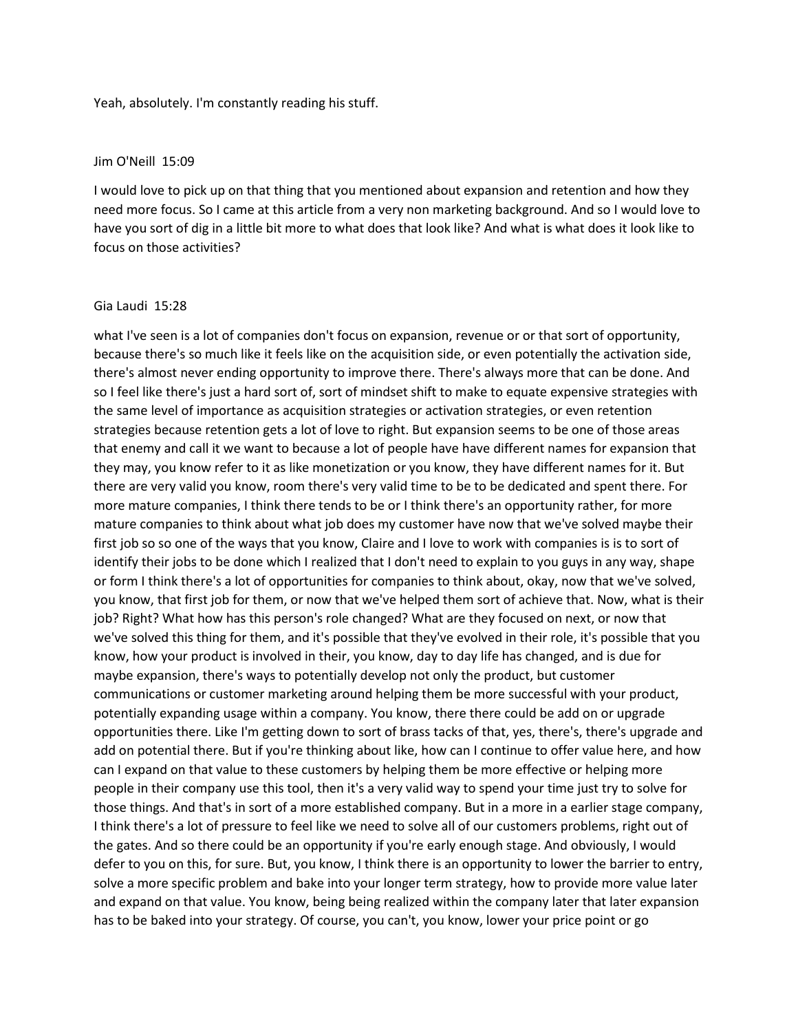Yeah, absolutely. I'm constantly reading his stuff.

#### Jim O'Neill 15:09

I would love to pick up on that thing that you mentioned about expansion and retention and how they need more focus. So I came at this article from a very non marketing background. And so I would love to have you sort of dig in a little bit more to what does that look like? And what is what does it look like to focus on those activities?

#### Gia Laudi 15:28

what I've seen is a lot of companies don't focus on expansion, revenue or or that sort of opportunity, because there's so much like it feels like on the acquisition side, or even potentially the activation side, there's almost never ending opportunity to improve there. There's always more that can be done. And so I feel like there's just a hard sort of, sort of mindset shift to make to equate expensive strategies with the same level of importance as acquisition strategies or activation strategies, or even retention strategies because retention gets a lot of love to right. But expansion seems to be one of those areas that enemy and call it we want to because a lot of people have have different names for expansion that they may, you know refer to it as like monetization or you know, they have different names for it. But there are very valid you know, room there's very valid time to be to be dedicated and spent there. For more mature companies, I think there tends to be or I think there's an opportunity rather, for more mature companies to think about what job does my customer have now that we've solved maybe their first job so so one of the ways that you know, Claire and I love to work with companies is is to sort of identify their jobs to be done which I realized that I don't need to explain to you guys in any way, shape or form I think there's a lot of opportunities for companies to think about, okay, now that we've solved, you know, that first job for them, or now that we've helped them sort of achieve that. Now, what is their job? Right? What how has this person's role changed? What are they focused on next, or now that we've solved this thing for them, and it's possible that they've evolved in their role, it's possible that you know, how your product is involved in their, you know, day to day life has changed, and is due for maybe expansion, there's ways to potentially develop not only the product, but customer communications or customer marketing around helping them be more successful with your product, potentially expanding usage within a company. You know, there there could be add on or upgrade opportunities there. Like I'm getting down to sort of brass tacks of that, yes, there's, there's upgrade and add on potential there. But if you're thinking about like, how can I continue to offer value here, and how can I expand on that value to these customers by helping them be more effective or helping more people in their company use this tool, then it's a very valid way to spend your time just try to solve for those things. And that's in sort of a more established company. But in a more in a earlier stage company, I think there's a lot of pressure to feel like we need to solve all of our customers problems, right out of the gates. And so there could be an opportunity if you're early enough stage. And obviously, I would defer to you on this, for sure. But, you know, I think there is an opportunity to lower the barrier to entry, solve a more specific problem and bake into your longer term strategy, how to provide more value later and expand on that value. You know, being being realized within the company later that later expansion has to be baked into your strategy. Of course, you can't, you know, lower your price point or go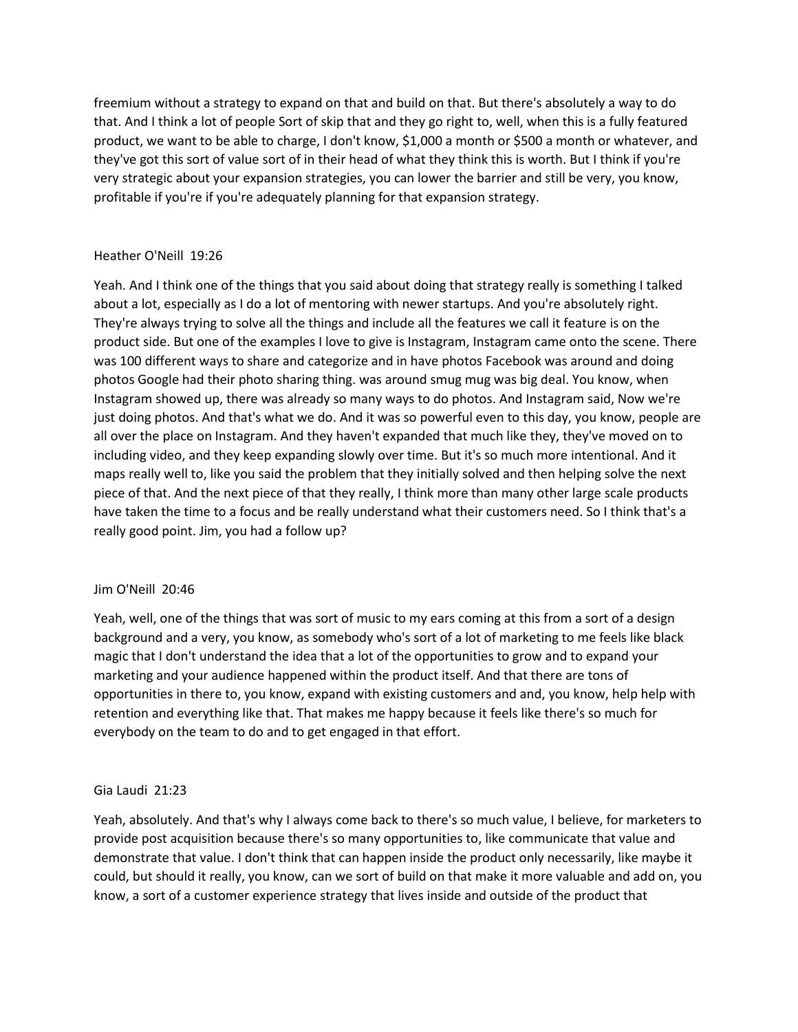freemium without a strategy to expand on that and build on that. But there's absolutely a way to do that. And I think a lot of people Sort of skip that and they go right to, well, when this is a fully featured product, we want to be able to charge, I don't know, \$1,000 a month or \$500 a month or whatever, and they've got this sort of value sort of in their head of what they think this is worth. But I think if you're very strategic about your expansion strategies, you can lower the barrier and still be very, you know, profitable if you're if you're adequately planning for that expansion strategy.

# Heather O'Neill 19:26

Yeah. And I think one of the things that you said about doing that strategy really is something I talked about a lot, especially as I do a lot of mentoring with newer startups. And you're absolutely right. They're always trying to solve all the things and include all the features we call it feature is on the product side. But one of the examples I love to give is Instagram, Instagram came onto the scene. There was 100 different ways to share and categorize and in have photos Facebook was around and doing photos Google had their photo sharing thing. was around smug mug was big deal. You know, when Instagram showed up, there was already so many ways to do photos. And Instagram said, Now we're just doing photos. And that's what we do. And it was so powerful even to this day, you know, people are all over the place on Instagram. And they haven't expanded that much like they, they've moved on to including video, and they keep expanding slowly over time. But it's so much more intentional. And it maps really well to, like you said the problem that they initially solved and then helping solve the next piece of that. And the next piece of that they really, I think more than many other large scale products have taken the time to a focus and be really understand what their customers need. So I think that's a really good point. Jim, you had a follow up?

# Jim O'Neill 20:46

Yeah, well, one of the things that was sort of music to my ears coming at this from a sort of a design background and a very, you know, as somebody who's sort of a lot of marketing to me feels like black magic that I don't understand the idea that a lot of the opportunities to grow and to expand your marketing and your audience happened within the product itself. And that there are tons of opportunities in there to, you know, expand with existing customers and and, you know, help help with retention and everything like that. That makes me happy because it feels like there's so much for everybody on the team to do and to get engaged in that effort.

# Gia Laudi 21:23

Yeah, absolutely. And that's why I always come back to there's so much value, I believe, for marketers to provide post acquisition because there's so many opportunities to, like communicate that value and demonstrate that value. I don't think that can happen inside the product only necessarily, like maybe it could, but should it really, you know, can we sort of build on that make it more valuable and add on, you know, a sort of a customer experience strategy that lives inside and outside of the product that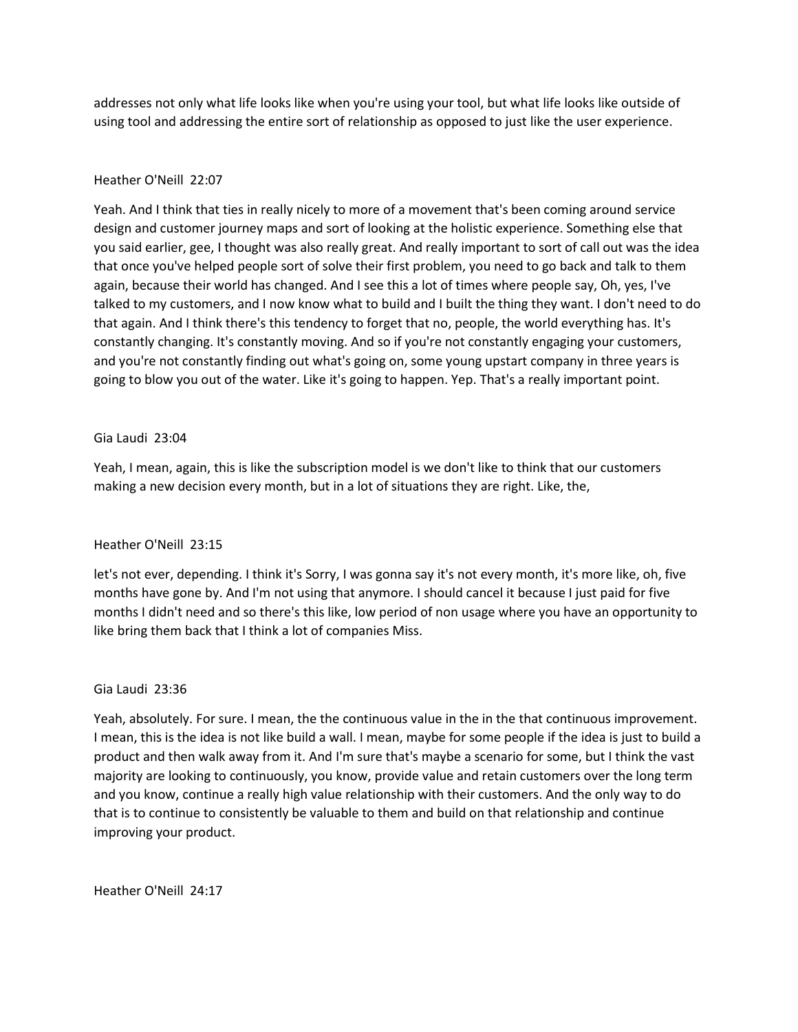addresses not only what life looks like when you're using your tool, but what life looks like outside of using tool and addressing the entire sort of relationship as opposed to just like the user experience.

## Heather O'Neill 22:07

Yeah. And I think that ties in really nicely to more of a movement that's been coming around service design and customer journey maps and sort of looking at the holistic experience. Something else that you said earlier, gee, I thought was also really great. And really important to sort of call out was the idea that once you've helped people sort of solve their first problem, you need to go back and talk to them again, because their world has changed. And I see this a lot of times where people say, Oh, yes, I've talked to my customers, and I now know what to build and I built the thing they want. I don't need to do that again. And I think there's this tendency to forget that no, people, the world everything has. It's constantly changing. It's constantly moving. And so if you're not constantly engaging your customers, and you're not constantly finding out what's going on, some young upstart company in three years is going to blow you out of the water. Like it's going to happen. Yep. That's a really important point.

## Gia Laudi 23:04

Yeah, I mean, again, this is like the subscription model is we don't like to think that our customers making a new decision every month, but in a lot of situations they are right. Like, the,

# Heather O'Neill 23:15

let's not ever, depending. I think it's Sorry, I was gonna say it's not every month, it's more like, oh, five months have gone by. And I'm not using that anymore. I should cancel it because I just paid for five months I didn't need and so there's this like, low period of non usage where you have an opportunity to like bring them back that I think a lot of companies Miss.

## Gia Laudi 23:36

Yeah, absolutely. For sure. I mean, the the continuous value in the in the that continuous improvement. I mean, this is the idea is not like build a wall. I mean, maybe for some people if the idea is just to build a product and then walk away from it. And I'm sure that's maybe a scenario for some, but I think the vast majority are looking to continuously, you know, provide value and retain customers over the long term and you know, continue a really high value relationship with their customers. And the only way to do that is to continue to consistently be valuable to them and build on that relationship and continue improving your product.

Heather O'Neill 24:17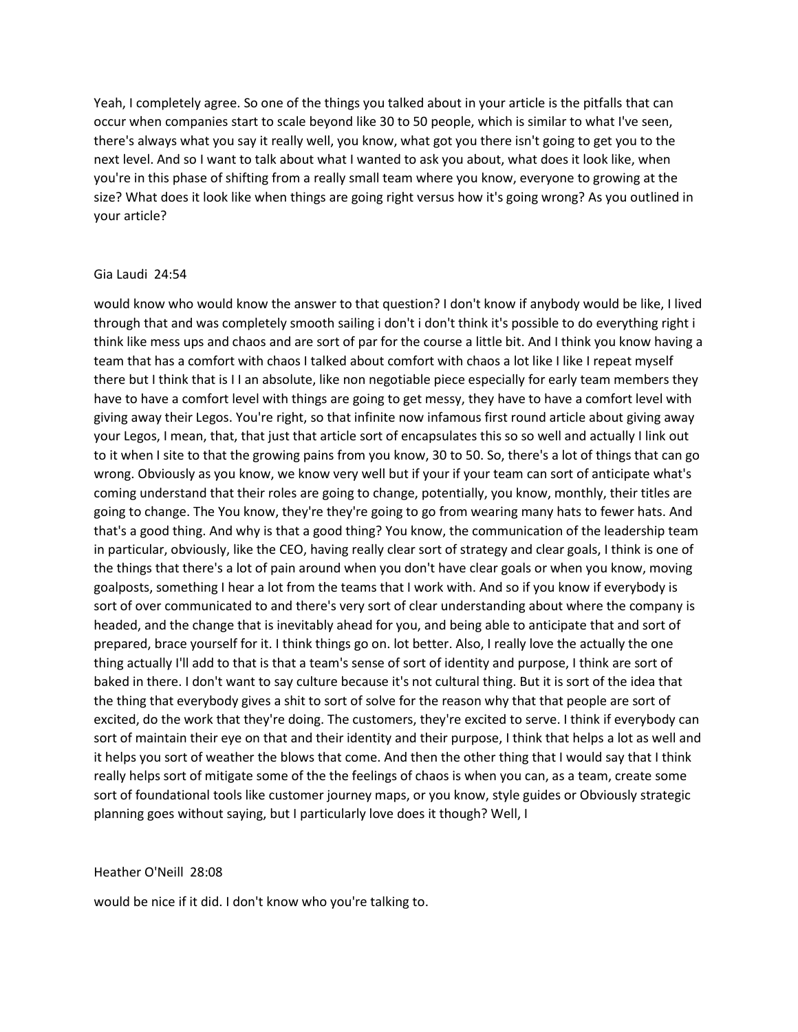Yeah, I completely agree. So one of the things you talked about in your article is the pitfalls that can occur when companies start to scale beyond like 30 to 50 people, which is similar to what I've seen, there's always what you say it really well, you know, what got you there isn't going to get you to the next level. And so I want to talk about what I wanted to ask you about, what does it look like, when you're in this phase of shifting from a really small team where you know, everyone to growing at the size? What does it look like when things are going right versus how it's going wrong? As you outlined in your article?

#### Gia Laudi 24:54

would know who would know the answer to that question? I don't know if anybody would be like, I lived through that and was completely smooth sailing i don't i don't think it's possible to do everything right i think like mess ups and chaos and are sort of par for the course a little bit. And I think you know having a team that has a comfort with chaos I talked about comfort with chaos a lot like I like I repeat myself there but I think that is I I an absolute, like non negotiable piece especially for early team members they have to have a comfort level with things are going to get messy, they have to have a comfort level with giving away their Legos. You're right, so that infinite now infamous first round article about giving away your Legos, I mean, that, that just that article sort of encapsulates this so so well and actually I link out to it when I site to that the growing pains from you know, 30 to 50. So, there's a lot of things that can go wrong. Obviously as you know, we know very well but if your if your team can sort of anticipate what's coming understand that their roles are going to change, potentially, you know, monthly, their titles are going to change. The You know, they're they're going to go from wearing many hats to fewer hats. And that's a good thing. And why is that a good thing? You know, the communication of the leadership team in particular, obviously, like the CEO, having really clear sort of strategy and clear goals, I think is one of the things that there's a lot of pain around when you don't have clear goals or when you know, moving goalposts, something I hear a lot from the teams that I work with. And so if you know if everybody is sort of over communicated to and there's very sort of clear understanding about where the company is headed, and the change that is inevitably ahead for you, and being able to anticipate that and sort of prepared, brace yourself for it. I think things go on. lot better. Also, I really love the actually the one thing actually I'll add to that is that a team's sense of sort of identity and purpose, I think are sort of baked in there. I don't want to say culture because it's not cultural thing. But it is sort of the idea that the thing that everybody gives a shit to sort of solve for the reason why that that people are sort of excited, do the work that they're doing. The customers, they're excited to serve. I think if everybody can sort of maintain their eye on that and their identity and their purpose, I think that helps a lot as well and it helps you sort of weather the blows that come. And then the other thing that I would say that I think really helps sort of mitigate some of the the feelings of chaos is when you can, as a team, create some sort of foundational tools like customer journey maps, or you know, style guides or Obviously strategic planning goes without saying, but I particularly love does it though? Well, I

#### Heather O'Neill 28:08

would be nice if it did. I don't know who you're talking to.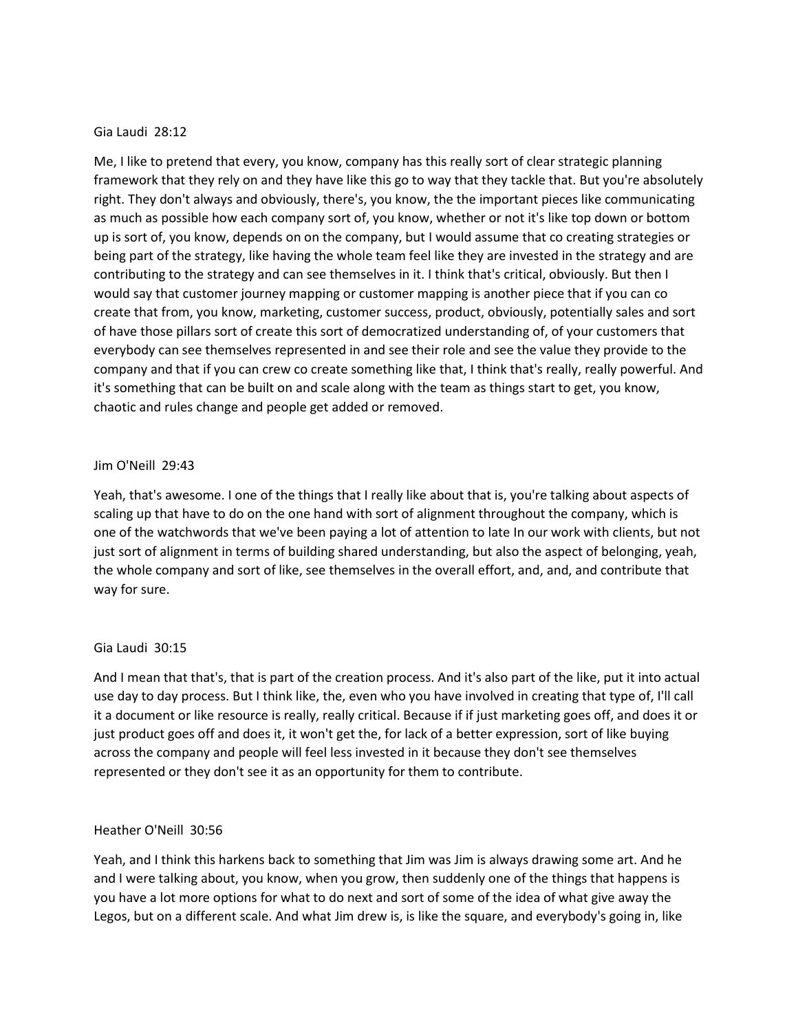## Gia Laudi 28:12

Me, I like to pretend that every, you know, company has this really sort of clear strategic planning framework that they rely on and they have like this go to way that they tackle that. But you're absolutely right. They don't always and obviously, there's, you know, the the important pieces like communicating as much as possible how each company sort of, you know, whether or not it's like top down or bottom up is sort of, you know, depends on on the company, but I would assume that co creating strategies or being part of the strategy, like having the whole team feel like they are invested in the strategy and are contributing to the strategy and can see themselves in it. I think that's critical, obviously. But then I would say that customer journey mapping or customer mapping is another piece that if you can co create that from, you know, marketing, customer success, product, obviously, potentially sales and sort of have those pillars sort of create this sort of democratized understanding of, of your customers that everybody can see themselves represented in and see their role and see the value they provide to the company and that if you can crew co create something like that, I think that's really, really powerful. And it's something that can be built on and scale along with the team as things start to get, you know, chaotic and rules change and people get added or removed.

## Jim O'Neill 29:43

Yeah, that's awesome. I one of the things that I really like about that is, you're talking about aspects of scaling up that have to do on the one hand with sort of alignment throughout the company, which is one of the watchwords that we've been paying a lot of attention to late In our work with clients, but not just sort of alignment in terms of building shared understanding, but also the aspect of belonging, yeah, the whole company and sort of like, see themselves in the overall effort, and, and, and contribute that way for sure.

## Gia Laudi 30:15

And I mean that that's, that is part of the creation process. And it's also part of the like, put it into actual use day to day process. But I think like, the, even who you have involved in creating that type of, I'll call it a document or like resource is really, really critical. Because if if just marketing goes off, and does it or just product goes off and does it, it won't get the, for lack of a better expression, sort of like buying across the company and people will feel less invested in it because they don't see themselves represented or they don't see it as an opportunity for them to contribute.

## Heather O'Neill 30:56

Yeah, and I think this harkens back to something that Jim was Jim is always drawing some art. And he and I were talking about, you know, when you grow, then suddenly one of the things that happens is you have a lot more options for what to do next and sort of some of the idea of what give away the Legos, but on a different scale. And what Jim drew is, is like the square, and everybody's going in, like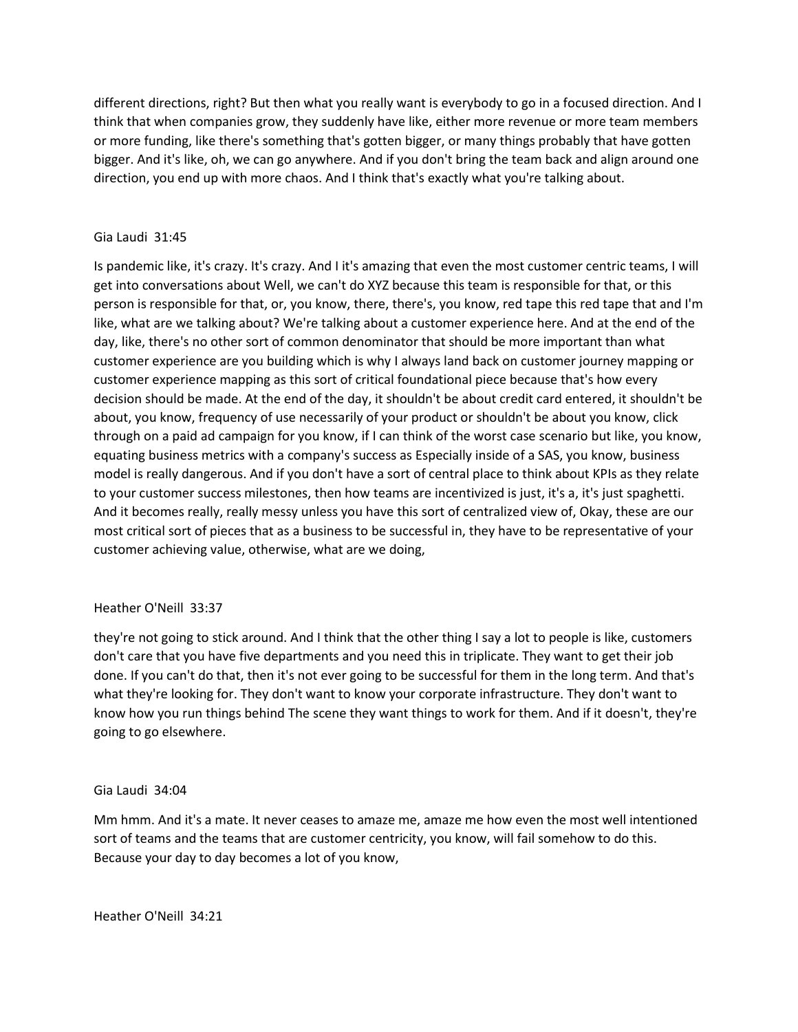different directions, right? But then what you really want is everybody to go in a focused direction. And I think that when companies grow, they suddenly have like, either more revenue or more team members or more funding, like there's something that's gotten bigger, or many things probably that have gotten bigger. And it's like, oh, we can go anywhere. And if you don't bring the team back and align around one direction, you end up with more chaos. And I think that's exactly what you're talking about.

# Gia Laudi 31:45

Is pandemic like, it's crazy. It's crazy. And I it's amazing that even the most customer centric teams, I will get into conversations about Well, we can't do XYZ because this team is responsible for that, or this person is responsible for that, or, you know, there, there's, you know, red tape this red tape that and I'm like, what are we talking about? We're talking about a customer experience here. And at the end of the day, like, there's no other sort of common denominator that should be more important than what customer experience are you building which is why I always land back on customer journey mapping or customer experience mapping as this sort of critical foundational piece because that's how every decision should be made. At the end of the day, it shouldn't be about credit card entered, it shouldn't be about, you know, frequency of use necessarily of your product or shouldn't be about you know, click through on a paid ad campaign for you know, if I can think of the worst case scenario but like, you know, equating business metrics with a company's success as Especially inside of a SAS, you know, business model is really dangerous. And if you don't have a sort of central place to think about KPIs as they relate to your customer success milestones, then how teams are incentivized is just, it's a, it's just spaghetti. And it becomes really, really messy unless you have this sort of centralized view of, Okay, these are our most critical sort of pieces that as a business to be successful in, they have to be representative of your customer achieving value, otherwise, what are we doing,

# Heather O'Neill 33:37

they're not going to stick around. And I think that the other thing I say a lot to people is like, customers don't care that you have five departments and you need this in triplicate. They want to get their job done. If you can't do that, then it's not ever going to be successful for them in the long term. And that's what they're looking for. They don't want to know your corporate infrastructure. They don't want to know how you run things behind The scene they want things to work for them. And if it doesn't, they're going to go elsewhere.

# Gia Laudi 34:04

Mm hmm. And it's a mate. It never ceases to amaze me, amaze me how even the most well intentioned sort of teams and the teams that are customer centricity, you know, will fail somehow to do this. Because your day to day becomes a lot of you know,

Heather O'Neill 34:21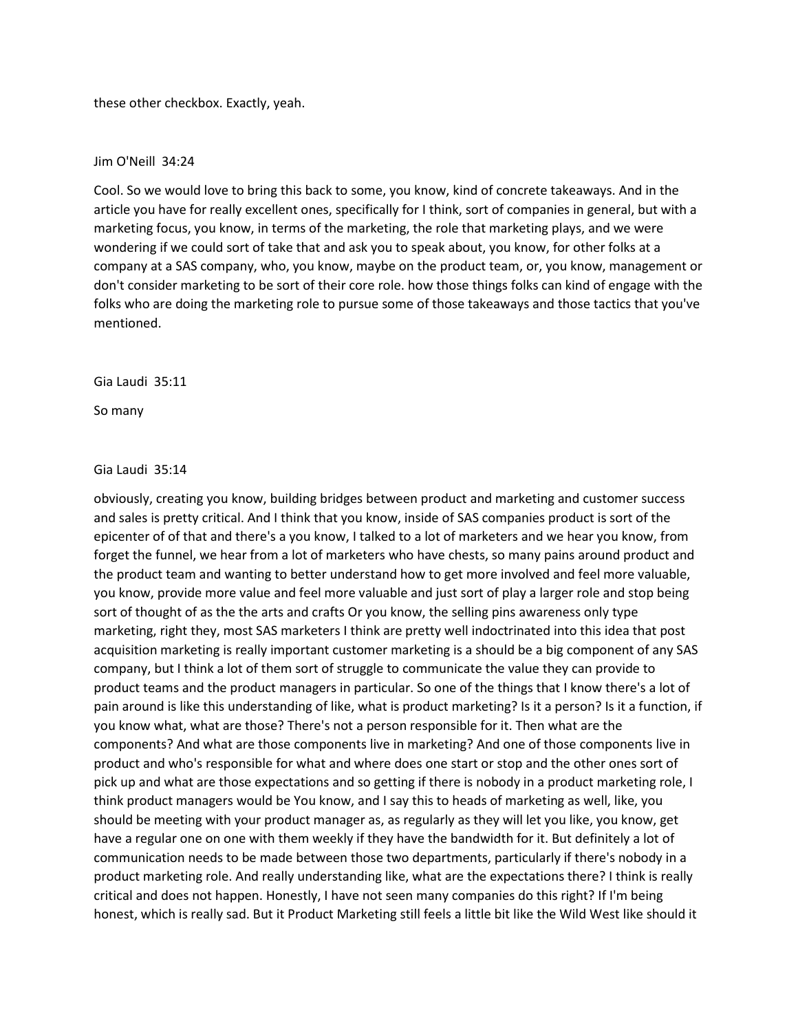these other checkbox. Exactly, yeah.

## Jim O'Neill 34:24

Cool. So we would love to bring this back to some, you know, kind of concrete takeaways. And in the article you have for really excellent ones, specifically for I think, sort of companies in general, but with a marketing focus, you know, in terms of the marketing, the role that marketing plays, and we were wondering if we could sort of take that and ask you to speak about, you know, for other folks at a company at a SAS company, who, you know, maybe on the product team, or, you know, management or don't consider marketing to be sort of their core role. how those things folks can kind of engage with the folks who are doing the marketing role to pursue some of those takeaways and those tactics that you've mentioned.

## Gia Laudi 35:11

So many

## Gia Laudi 35:14

obviously, creating you know, building bridges between product and marketing and customer success and sales is pretty critical. And I think that you know, inside of SAS companies product is sort of the epicenter of of that and there's a you know, I talked to a lot of marketers and we hear you know, from forget the funnel, we hear from a lot of marketers who have chests, so many pains around product and the product team and wanting to better understand how to get more involved and feel more valuable, you know, provide more value and feel more valuable and just sort of play a larger role and stop being sort of thought of as the the arts and crafts Or you know, the selling pins awareness only type marketing, right they, most SAS marketers I think are pretty well indoctrinated into this idea that post acquisition marketing is really important customer marketing is a should be a big component of any SAS company, but I think a lot of them sort of struggle to communicate the value they can provide to product teams and the product managers in particular. So one of the things that I know there's a lot of pain around is like this understanding of like, what is product marketing? Is it a person? Is it a function, if you know what, what are those? There's not a person responsible for it. Then what are the components? And what are those components live in marketing? And one of those components live in product and who's responsible for what and where does one start or stop and the other ones sort of pick up and what are those expectations and so getting if there is nobody in a product marketing role, I think product managers would be You know, and I say this to heads of marketing as well, like, you should be meeting with your product manager as, as regularly as they will let you like, you know, get have a regular one on one with them weekly if they have the bandwidth for it. But definitely a lot of communication needs to be made between those two departments, particularly if there's nobody in a product marketing role. And really understanding like, what are the expectations there? I think is really critical and does not happen. Honestly, I have not seen many companies do this right? If I'm being honest, which is really sad. But it Product Marketing still feels a little bit like the Wild West like should it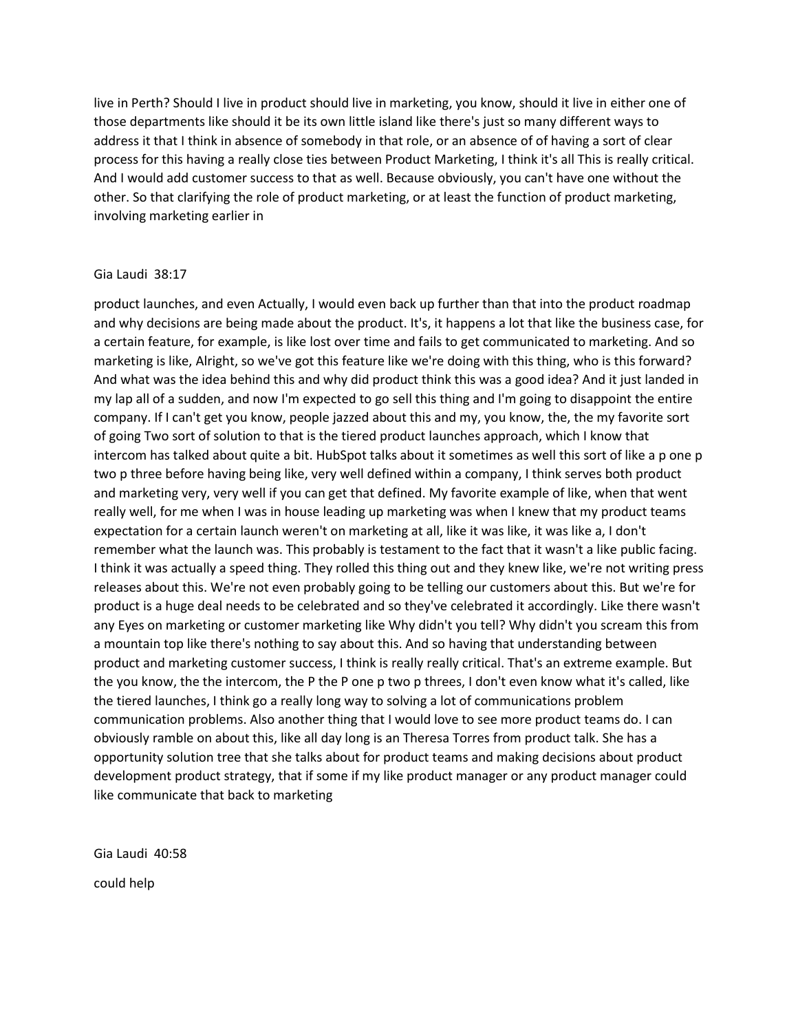live in Perth? Should I live in product should live in marketing, you know, should it live in either one of those departments like should it be its own little island like there's just so many different ways to address it that I think in absence of somebody in that role, or an absence of of having a sort of clear process for this having a really close ties between Product Marketing, I think it's all This is really critical. And I would add customer success to that as well. Because obviously, you can't have one without the other. So that clarifying the role of product marketing, or at least the function of product marketing, involving marketing earlier in

## Gia Laudi 38:17

product launches, and even Actually, I would even back up further than that into the product roadmap and why decisions are being made about the product. It's, it happens a lot that like the business case, for a certain feature, for example, is like lost over time and fails to get communicated to marketing. And so marketing is like, Alright, so we've got this feature like we're doing with this thing, who is this forward? And what was the idea behind this and why did product think this was a good idea? And it just landed in my lap all of a sudden, and now I'm expected to go sell this thing and I'm going to disappoint the entire company. If I can't get you know, people jazzed about this and my, you know, the, the my favorite sort of going Two sort of solution to that is the tiered product launches approach, which I know that intercom has talked about quite a bit. HubSpot talks about it sometimes as well this sort of like a p one p two p three before having being like, very well defined within a company, I think serves both product and marketing very, very well if you can get that defined. My favorite example of like, when that went really well, for me when I was in house leading up marketing was when I knew that my product teams expectation for a certain launch weren't on marketing at all, like it was like, it was like a, I don't remember what the launch was. This probably is testament to the fact that it wasn't a like public facing. I think it was actually a speed thing. They rolled this thing out and they knew like, we're not writing press releases about this. We're not even probably going to be telling our customers about this. But we're for product is a huge deal needs to be celebrated and so they've celebrated it accordingly. Like there wasn't any Eyes on marketing or customer marketing like Why didn't you tell? Why didn't you scream this from a mountain top like there's nothing to say about this. And so having that understanding between product and marketing customer success, I think is really really critical. That's an extreme example. But the you know, the the intercom, the P the P one p two p threes, I don't even know what it's called, like the tiered launches, I think go a really long way to solving a lot of communications problem communication problems. Also another thing that I would love to see more product teams do. I can obviously ramble on about this, like all day long is an Theresa Torres from product talk. She has a opportunity solution tree that she talks about for product teams and making decisions about product development product strategy, that if some if my like product manager or any product manager could like communicate that back to marketing

Gia Laudi 40:58 could help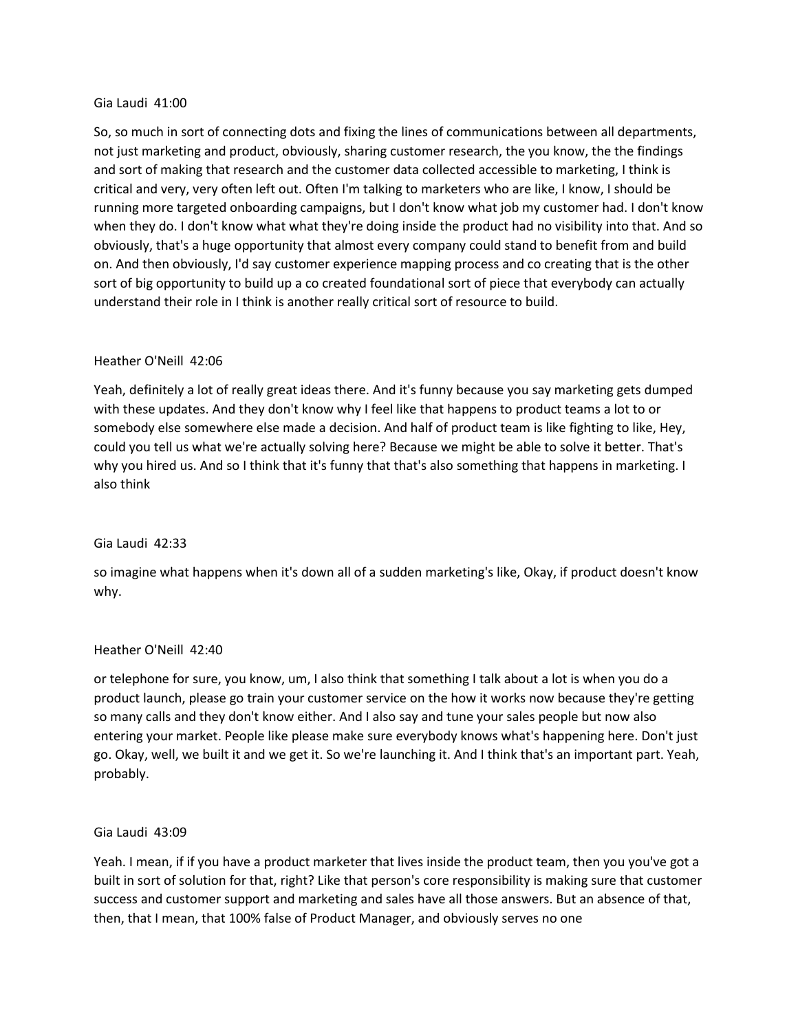## Gia Laudi 41:00

So, so much in sort of connecting dots and fixing the lines of communications between all departments, not just marketing and product, obviously, sharing customer research, the you know, the the findings and sort of making that research and the customer data collected accessible to marketing, I think is critical and very, very often left out. Often I'm talking to marketers who are like, I know, I should be running more targeted onboarding campaigns, but I don't know what job my customer had. I don't know when they do. I don't know what what they're doing inside the product had no visibility into that. And so obviously, that's a huge opportunity that almost every company could stand to benefit from and build on. And then obviously, I'd say customer experience mapping process and co creating that is the other sort of big opportunity to build up a co created foundational sort of piece that everybody can actually understand their role in I think is another really critical sort of resource to build.

# Heather O'Neill 42:06

Yeah, definitely a lot of really great ideas there. And it's funny because you say marketing gets dumped with these updates. And they don't know why I feel like that happens to product teams a lot to or somebody else somewhere else made a decision. And half of product team is like fighting to like, Hey, could you tell us what we're actually solving here? Because we might be able to solve it better. That's why you hired us. And so I think that it's funny that that's also something that happens in marketing. I also think

# Gia Laudi 42:33

so imagine what happens when it's down all of a sudden marketing's like, Okay, if product doesn't know why.

# Heather O'Neill 42:40

or telephone for sure, you know, um, I also think that something I talk about a lot is when you do a product launch, please go train your customer service on the how it works now because they're getting so many calls and they don't know either. And I also say and tune your sales people but now also entering your market. People like please make sure everybody knows what's happening here. Don't just go. Okay, well, we built it and we get it. So we're launching it. And I think that's an important part. Yeah, probably.

# Gia Laudi 43:09

Yeah. I mean, if if you have a product marketer that lives inside the product team, then you you've got a built in sort of solution for that, right? Like that person's core responsibility is making sure that customer success and customer support and marketing and sales have all those answers. But an absence of that, then, that I mean, that 100% false of Product Manager, and obviously serves no one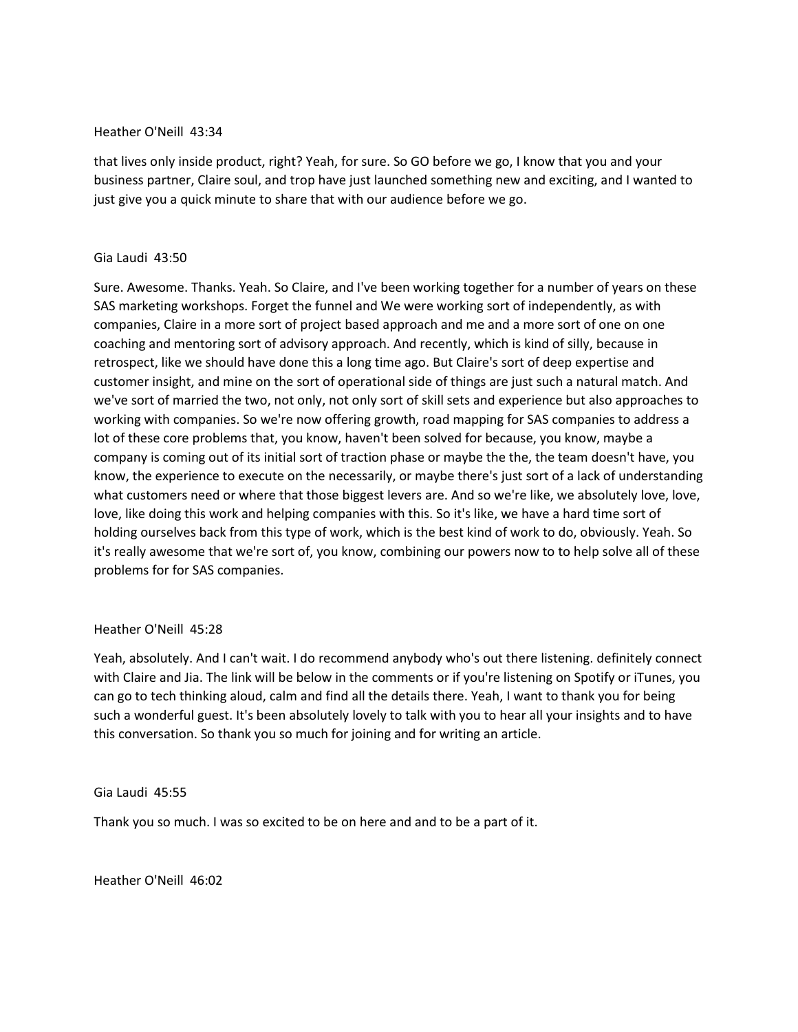## Heather O'Neill 43:34

that lives only inside product, right? Yeah, for sure. So GO before we go, I know that you and your business partner, Claire soul, and trop have just launched something new and exciting, and I wanted to just give you a quick minute to share that with our audience before we go.

## Gia Laudi 43:50

Sure. Awesome. Thanks. Yeah. So Claire, and I've been working together for a number of years on these SAS marketing workshops. Forget the funnel and We were working sort of independently, as with companies, Claire in a more sort of project based approach and me and a more sort of one on one coaching and mentoring sort of advisory approach. And recently, which is kind of silly, because in retrospect, like we should have done this a long time ago. But Claire's sort of deep expertise and customer insight, and mine on the sort of operational side of things are just such a natural match. And we've sort of married the two, not only, not only sort of skill sets and experience but also approaches to working with companies. So we're now offering growth, road mapping for SAS companies to address a lot of these core problems that, you know, haven't been solved for because, you know, maybe a company is coming out of its initial sort of traction phase or maybe the the, the team doesn't have, you know, the experience to execute on the necessarily, or maybe there's just sort of a lack of understanding what customers need or where that those biggest levers are. And so we're like, we absolutely love, love, love, like doing this work and helping companies with this. So it's like, we have a hard time sort of holding ourselves back from this type of work, which is the best kind of work to do, obviously. Yeah. So it's really awesome that we're sort of, you know, combining our powers now to to help solve all of these problems for for SAS companies.

# Heather O'Neill 45:28

Yeah, absolutely. And I can't wait. I do recommend anybody who's out there listening. definitely connect with Claire and Jia. The link will be below in the comments or if you're listening on Spotify or iTunes, you can go to tech thinking aloud, calm and find all the details there. Yeah, I want to thank you for being such a wonderful guest. It's been absolutely lovely to talk with you to hear all your insights and to have this conversation. So thank you so much for joining and for writing an article.

## Gia Laudi 45:55

Thank you so much. I was so excited to be on here and and to be a part of it.

Heather O'Neill 46:02